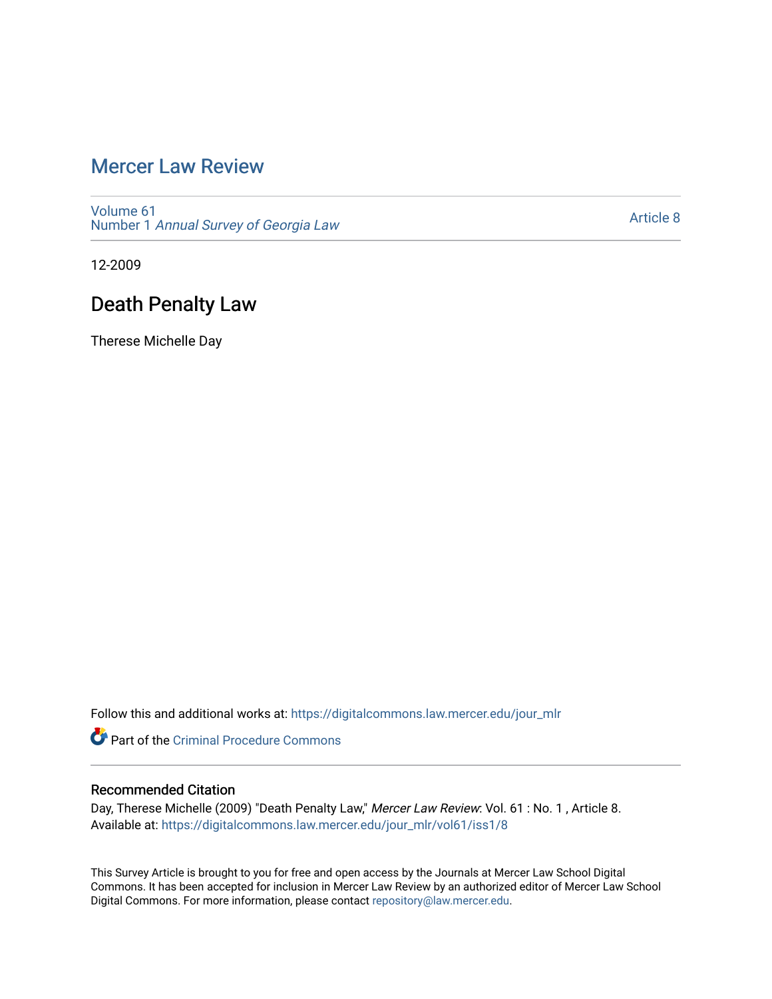## [Mercer Law Review](https://digitalcommons.law.mercer.edu/jour_mlr)

[Volume 61](https://digitalcommons.law.mercer.edu/jour_mlr/vol61) Number 1 [Annual Survey of Georgia Law](https://digitalcommons.law.mercer.edu/jour_mlr/vol61/iss1) 

[Article 8](https://digitalcommons.law.mercer.edu/jour_mlr/vol61/iss1/8) 

12-2009

## Death Penalty Law

Therese Michelle Day

Follow this and additional works at: [https://digitalcommons.law.mercer.edu/jour\\_mlr](https://digitalcommons.law.mercer.edu/jour_mlr?utm_source=digitalcommons.law.mercer.edu%2Fjour_mlr%2Fvol61%2Fiss1%2F8&utm_medium=PDF&utm_campaign=PDFCoverPages)

**C** Part of the Criminal Procedure Commons

### Recommended Citation

Day, Therese Michelle (2009) "Death Penalty Law," Mercer Law Review: Vol. 61 : No. 1, Article 8. Available at: [https://digitalcommons.law.mercer.edu/jour\\_mlr/vol61/iss1/8](https://digitalcommons.law.mercer.edu/jour_mlr/vol61/iss1/8?utm_source=digitalcommons.law.mercer.edu%2Fjour_mlr%2Fvol61%2Fiss1%2F8&utm_medium=PDF&utm_campaign=PDFCoverPages)

This Survey Article is brought to you for free and open access by the Journals at Mercer Law School Digital Commons. It has been accepted for inclusion in Mercer Law Review by an authorized editor of Mercer Law School Digital Commons. For more information, please contact [repository@law.mercer.edu](mailto:repository@law.mercer.edu).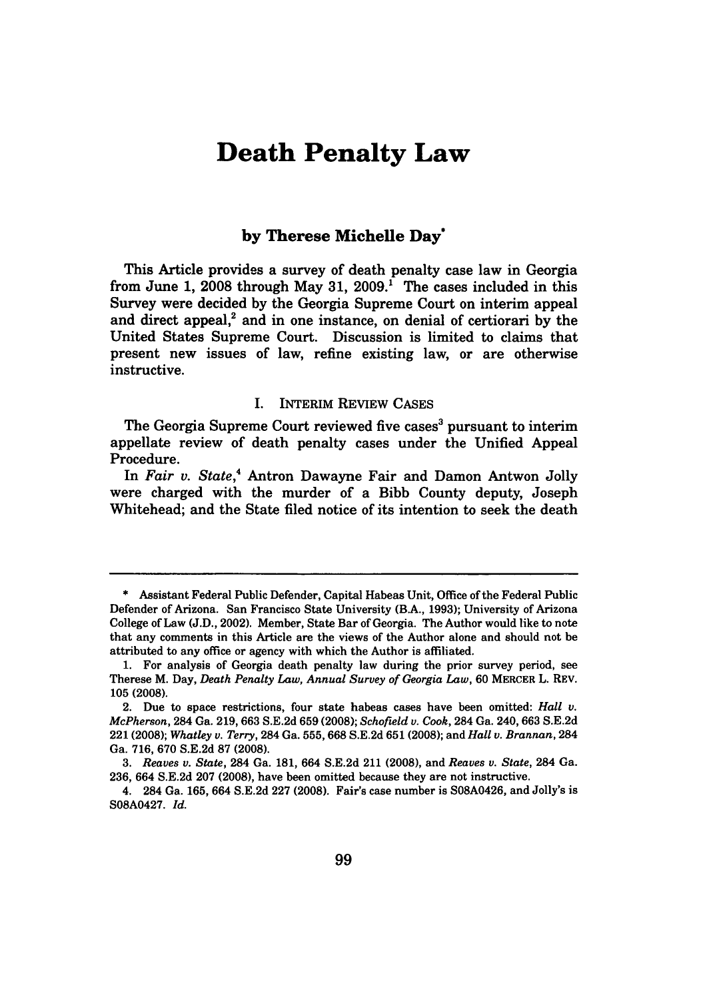# **Death Penalty Law**

### **by Therese Michelle Day\***

This Article provides a survey of death penalty case law in Georgia from June **1, 2008** through May **31, 2009.1** The cases included in this Survey were decided **by** the Georgia Supreme Court on interim appeal and direct appeal,<sup>2</sup> and in one instance, on denial of certiorari by the United States Supreme Court. Discussion is limited to claims that present new issues of law, refine existing law, or are otherwise instructive.

#### **I.** INTERIM REVIEW **CASES**

The Georgia Supreme Court reviewed five cases<sup>3</sup> pursuant to interim appellate review of death penalty cases under the Unified Appeal Procedure.

In *Fair v. State,4* Antron Dawayne Fair and Damon Antwon Jolly were charged with the murder of a Bibb County deputy, Joseph Whitehead; and the State filed notice of its intention to seek the death

**<sup>\*</sup>** Assistant Federal Public Defender, Capital Habeas Unit, Office of the Federal Public Defender of Arizona. San Francisco State University (B.A., **1993);** University of Arizona College of Law **(J.D.,** 2002). Member, State Bar of Georgia. The Author would like to note that any comments in this Article are the views of the Author alone and should not be attributed to any office or agency with which the Author is affiliated.

**<sup>1.</sup>** For analysis of Georgia death penalty law during the prior survey period, see Therese M. Day, *Death Penalty Law, Annual Survey of Georgia Law,* **60** MERCER L. REv. **105 (2008).**

<sup>2.</sup> Due to space restrictions, four state habeas cases have been omitted: *Hall v. McPherson,* 284 Ga. **219,663 S.E.2d 659 (2008);** *Schofield v. Cook,* 284 Ga. **240,663 S.E.2d** 221 **(2008);** *Whatley v. Terry,* 284 Ga. **555,668 S.E.2d 651 (2008);** and *Hall v. Brannan,* 284 Ga. **716, 670 S.E.2d 87 (2008).**

*<sup>3.</sup> Reaves v. State,* 284 Ga. **181,** 664 **S.E.2d** 211 **(2008),** and *Reaves v. State,* 284 Ga. **236,** 664 **S.E.2d 207 (2008),** have been omitted because they are not instructive.

<sup>4. 284</sup> Ga. **165,** 664 **S.E.2d 227 (2008).** Fair's case number is **S08A0426,** and Jolly's is **S08A0427.** *Id.*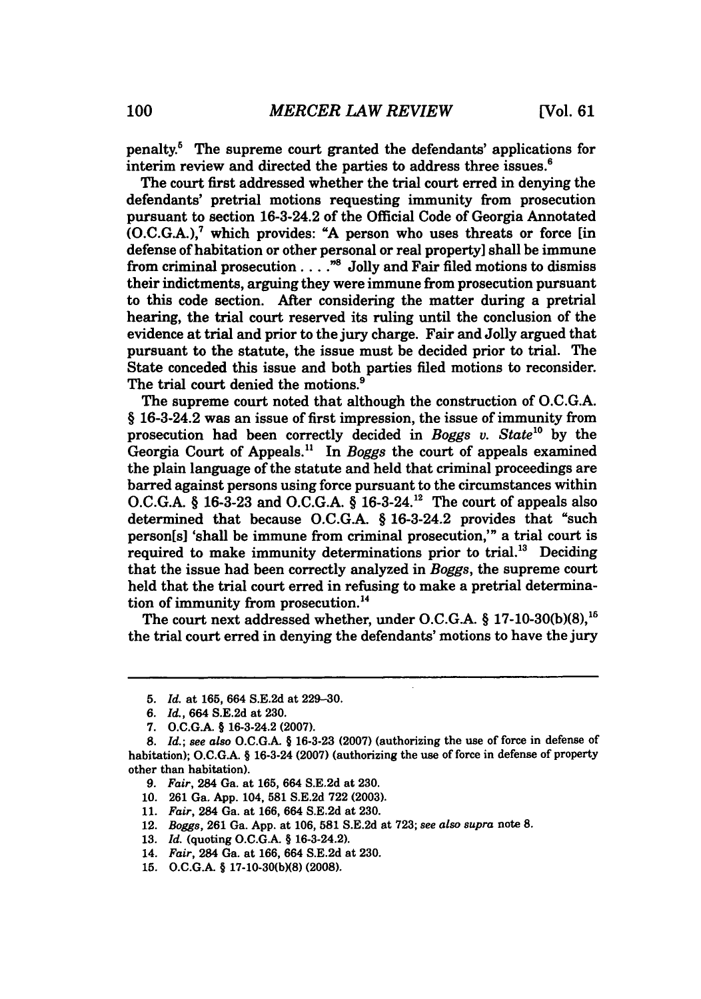penalty.' The supreme court granted the defendants' applications for interim review and directed the parties to address three issues.<sup>6</sup>

The court first addressed whether the trial court erred in denying the defendants' pretrial motions requesting immunity from prosecution pursuant to section 16-3-24.2 of the Official Code of Georgia Annotated (O.C.G.A.), 7 which provides: **"A** person who uses threats or force [in defense of habitation or other personal or real property] shall be immune from criminal prosecution  $\ldots$ ....<sup>38</sup> Jolly and Fair filed motions to dismiss their indictments, arguing they were immune from prosecution pursuant to this code section. After considering the matter during a pretrial hearing, the trial court reserved its ruling until the conclusion of the evidence at trial and prior to the jury charge. Fair and Jolly argued that pursuant to the statute, the issue must be decided prior to trial. The State conceded this issue and both parties filed motions to reconsider. The trial court denied the motions.<sup>9</sup>

The supreme court noted that although the construction of O.C.G.A. § 16-3-24.2 was an issue of first impression, the issue of immunity from prosecution had been correctly decided in *Boggs v. State*<sup>10</sup> by the Georgia Court of Appeals." In *Boggs* the court of appeals examined the plain language of the statute and held that criminal proceedings are barred against persons using force pursuant to the circumstances within O.C.G.A. § 16-3-23 and O.C.G.A. § 16-3-24.<sup>12</sup> The court of appeals also determined that because O.C.G.A. § 16-3-24.2 provides that "such person[s] 'shall be immune from criminal prosecution,'" a trial court is required to make immunity determinations prior to trial.<sup>13</sup> Deciding that the issue had been correctly analyzed in *Boggs,* the supreme court held that the trial court erred in refusing to make a pretrial determination of immunity from prosecution.<sup>14</sup>

The court next addressed whether, under **O.C.G.A.** § **17-10-30(b)(8), <sup>16</sup>** the trial court erred in denying the defendants' motions to have the jury

**<sup>5.</sup>** *Id.* at **165,** 664 **S.E.2d** at **229-30.**

*<sup>6.</sup> Id.,* 664 **S.E.2d** at **230.**

**<sup>7.</sup> O.C.G.A.** § 16-3-24.2 **(2007).**

*<sup>8.</sup> Id.; see also* **O.C.G.A.** § **16-3-23 (2007)** (authorizing the use of force in defense of habitation); **O.C.G.A.** § 16-3-24 **(2007)** (authorizing the use of force in defense of property other than habitation).

*<sup>9.</sup> Fair,* 284 Ga. at **165,** 664 **S.E.2d** at **230.**

**<sup>10. 261</sup>** Ga. **App.** 104, **581 S.E.2d 722 (2003).**

**<sup>11.</sup>** *Fair,* 284 Ga. at **166,** 664 **S.E.2d** at **230.**

<sup>12.</sup> *Boggs,* **261** Ga. **App.** at **106, 581 S.E.2d** at **723;** *see also supra* note **8.**

**<sup>13.</sup>** *Id.* (quoting **O.C.G.A.** § 16-3-24.2).

<sup>14.</sup> *Fair,* 284 Ga. at **166,** 664 **S.E.2d** at **230.**

**<sup>15.</sup> O.C.G.A.** § **17-10-30(b)(8) (2008).**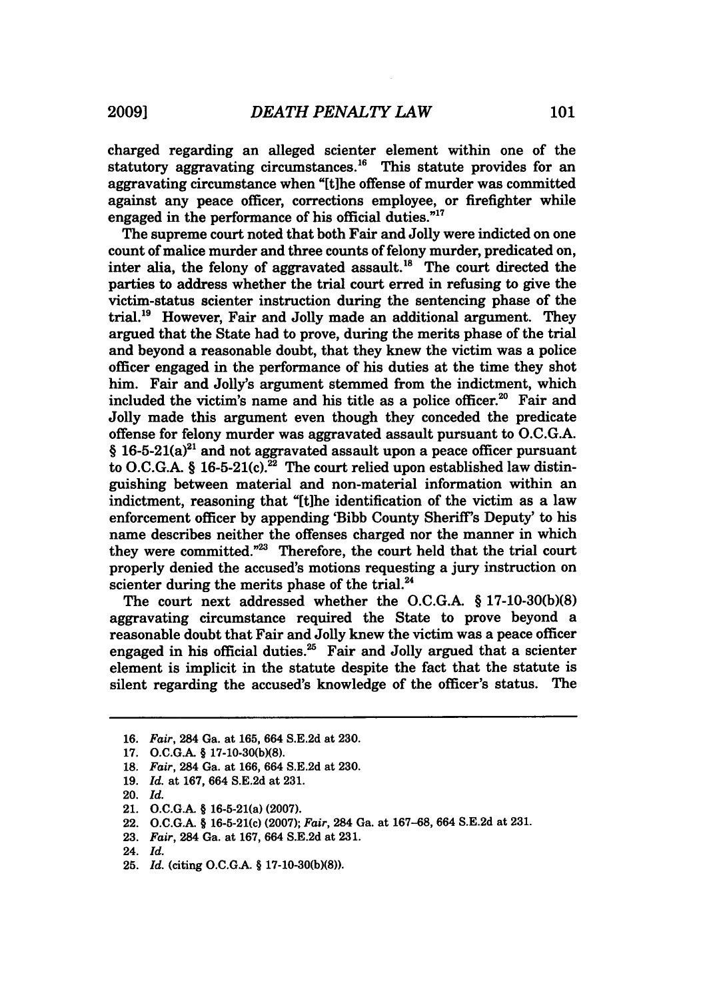charged regarding an alleged scienter element within one of the statutory aggravating circumstances.<sup>16</sup> This statute provides for an aggravating circumstance when "[tihe offense of murder was committed against any peace officer, corrections employee, or firefighter while engaged in the performance of his official duties."<sup>17</sup>

The supreme court noted that both Fair and Jolly were indicted on one count of malice murder and three counts of felony murder, predicated on, inter alia, the felony of aggravated assault.18 The court directed the parties to address whether the trial court erred in refusing to give the victim-status scienter instruction during the sentencing phase of the  $trial.<sup>19</sup>$  However, Fair and Jolly made an additional argument. They argued that the State had to prove, during the merits phase of the trial and beyond a reasonable doubt, that they knew the victim was a police officer engaged in the performance of his duties at the time they shot him. Fair and Jolly's argument stemmed from the indictment, which included the victim's name and his title as a police officer.<sup>20</sup> Fair and Jolly made this argument even though they conceded the predicate offense for felony murder was aggravated assault pursuant to **O.C.G.A.**  $§$  16-5-21(a)<sup>21</sup> and not aggravated assault upon a peace officer pursuant to **O.C.G.A.** § 16-5-21(c).<sup>22</sup> The court relied upon established law distinguishing between material and non-material information within an indictment, reasoning that "[tihe identification of the victim as a law enforcement officer **by** appending 'Bibb County Sheriff's Deputy' to his name describes neither the offenses charged nor the manner in which they were committed."<sup>23</sup> Therefore, the court held that the trial court properly denied the accused's motions requesting a jury instruction on scienter during the merits phase of the trial. $^{24}$ 

The court next addressed whether the **O.C.G.A.** § **17-10-30(b)(8)** aggravating circumstance required the State to prove beyond a reasonable doubt that Fair and Jolly knew the victim was a peace officer engaged in his official duties. $^{25}$  Fair and Jolly argued that a scienter element is implicit in the statute despite the fact that the statute is silent regarding the accused's knowledge of the officer's status. The

**<sup>16.</sup>** *Fair,* 284 Ga. at **165,** 664 **S.E.2d** at **230.**

<sup>17.</sup> **O.C.G.A. § 17-10-30(b)(8).** 

**<sup>18.</sup>** *Fair,* 284 Ga. at **166,** 664 **S.E.2d** at **230.**

**<sup>19.</sup>** *Id.* at **167,** 664 **S.E.2d** at **231.**

<sup>20.</sup> *Id.*

<sup>21.</sup> **O.C.G.A. §** 16-5-21(a) **(2007).**

<sup>22.</sup> **O.C.G.A.** § 16-5-21(c) **(2007);** *Fair,* 284 Ga. at **167-68,** 664 **S.E.2d** at **231.**

**<sup>23.</sup>** *Fair,* 284 Ga. at **167,** 664 **S.E.2d** at **231.**

<sup>24.</sup> *Id.*

**<sup>25.</sup>** *Id.* (citing **O.C.GA.** § **17-10-30(b)(8)).**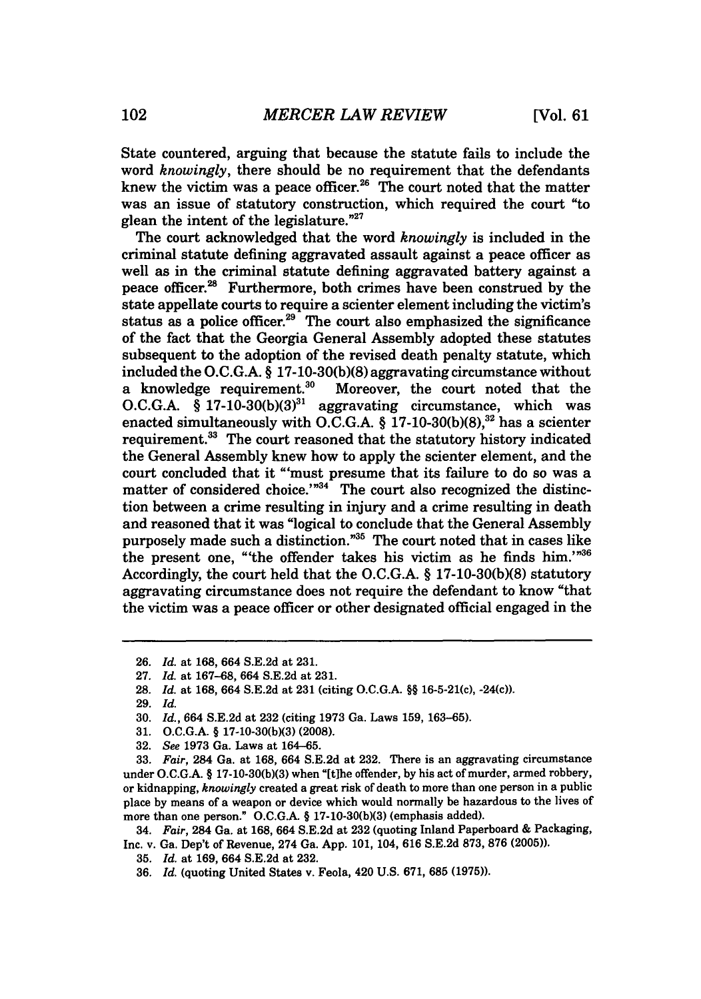State countered, arguing that because the statute fails to include the word *knowingly,* there should be no requirement that the defendants knew the victim was a peace officer.<sup>26</sup> The court noted that the matter was an issue of statutory construction, which required the court "to glean the intent of the legislature."<sup>27</sup>

The court acknowledged that the word *knowingly* is included in the criminal statute defining aggravated assault against a peace officer as well as in the criminal statute defining aggravated battery against a peace officer.<sup>28</sup> Furthermore, both crimes have been construed by the state appellate courts to require a scienter element including the victim's status as a police officer. $29$ <sup>T</sup> The court also emphasized the significance of the fact that the Georgia General Assembly adopted these statutes subsequent to the adoption of the revised death penalty statute, which included the O.C.G.A.  $\S$  17-10-30(b)(8) aggravating circumstance without a knowledge requirement.<sup>30</sup> Moreover, the court noted that the Moreover, the court noted that the O.C.G.A. § 17-10-30(b)(3)<sup>31</sup> aggravating circumstance, which was enacted simultaneously with O.C.G.A.  $\S$  17-10-30(b)(8),<sup>32</sup> has a scienter requirement.<sup>33</sup> The court reasoned that the statutory history indicated the General Assembly knew how to apply the scienter element, and the court concluded that it "'must presume that its failure to do so was a matter of considered choice.'"<sup>34</sup> The court also recognized the distinction between a crime resulting in injury and a crime resulting in death and reasoned that it was "logical to conclude that the General Assembly purposely made such a distinction."<sup>35</sup> The court noted that in cases like the present one, "the offender takes his victim as he finds him.'"36 Accordingly, the court held that the O.C.G.A. § 17-10-30(b)(8) statutory aggravating circumstance does not require the defendant to know "that the victim was a peace officer or other designated official engaged in the

31. O.C.G.A. § 17-10-30(bX3) (2008).

**<sup>26.</sup>** *Id.* at 168, 664 S.E.2d at 231.

<sup>27.</sup> *Id.* at 167-68, 664 S.E.2d at 231.

<sup>28.</sup> *Id.* at 168, 664 S.E.2d at 231 (citing O.C.G.A. §§ 16-5-21(c), -24(c)).

<sup>29.</sup> *Id.*

<sup>30.</sup> *Id.,* 664 S.E.2d at 232 (citing 1973 Ga. Laws 159, 163-65).

<sup>32.</sup> *See* 1973 Ga. Laws at 164-65.

<sup>33.</sup> *Fair,* 284 Ga. at 168, 664 S.E.2d at 232. There is an aggravating circumstance under O.C.G.A. § 17-10-30(b)(3) when "[t]he offender, by his act of murder, armed robbery, or kidnapping, *knowingly* created a great risk of death to more than one person in a public place by means of a weapon or device which would normally be hazardous to the lives of more than one person." O.C.G.A. § 17-10-30(b)(3) (emphasis added).

<sup>34.</sup> *Fair,* 284 Ga. at 168, 664 S.E.2d at 232 (quoting Inland Paperboard & Packaging, Inc. v. Ga. Dep't of Revenue, 274 Ga. App. 101, 104, 616 S.E.2d 873, 876 (2005)).

<sup>35.</sup> *Id.* at 169, 664 S.E.2d at 232.

<sup>36.</sup> *Id.* (quoting United States v. Feola, 420 U.S. 671, **685 (1975)).**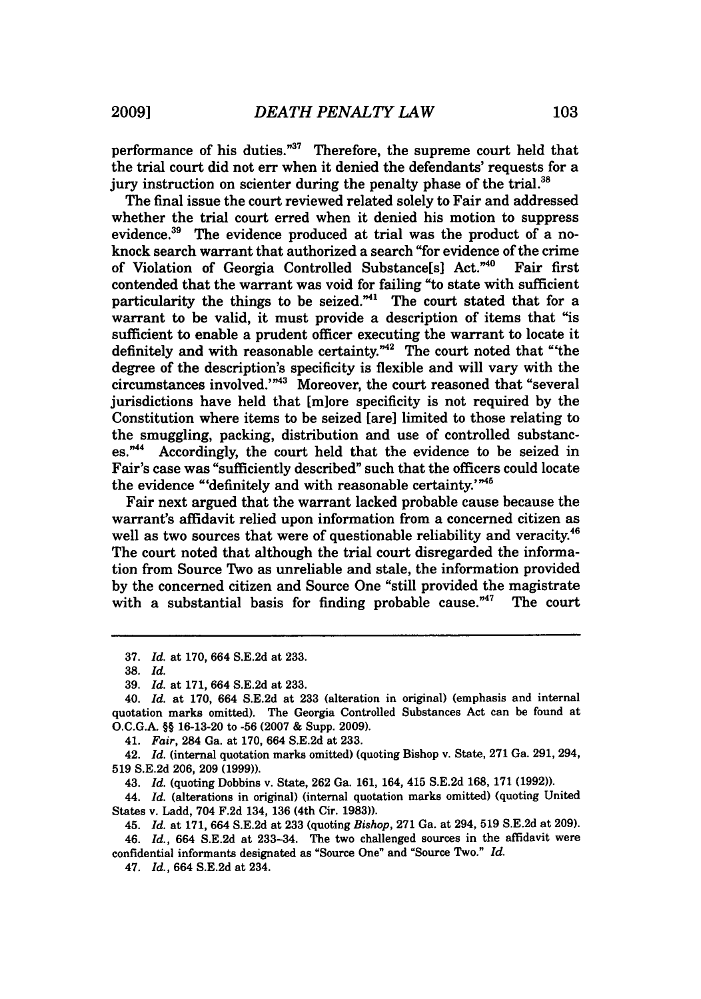performance of his duties."<sup>37</sup> Therefore, the supreme court held that the trial court did not err when it denied the defendants' requests for a jury instruction on scienter during the penalty phase of the trial.<sup>34</sup>

The final issue the court reviewed related solely to Fair and addressed whether the trial court erred when it denied his motion to suppress evidence.39 The evidence produced at trial was the product of a noknock search warrant that authorized a search "for evidence of the crime<br>of Violation of Georgia Controlled Substance si Act."<sup>40</sup> Fair first of Violation of Georgia Controlled Substance[s] Act."<sup>40</sup> contended that the warrant was void for failing "to state with sufficient particularity the things to be seized."<sup>41</sup> The court stated that for a warrant to be valid, it must provide a description of items that "is sufficient to enable a prudent officer executing the warrant to locate it definitely and with reasonable certainty.<sup>"42</sup> The court noted that "the degree of the description's specificity is flexible and will vary with the circumstances involved.'"<sup>43</sup> Moreover, the court reasoned that "several jurisdictions have held that [miore specificity is not required **by** the Constitution where items to be seized [are] limited to those relating to the smuggling, packing, distribution and use of controlled substances."<sup>44</sup> Accordingly, the court held that the evidence to be seized in Fair's case was "sufficiently described" such that the officers could locate the evidence "'definitely and with reasonable **certainty. '**

Fair next argued that the warrant lacked probable cause because the warrant's affidavit relied upon information from a concerned citizen as well as two sources that were of questionable reliability and veracity.<sup>44</sup> The court noted that although the trial court disregarded the information from Source Two as unreliable and stale, the information provided **by** the concerned citizen and Source One "still provided the magistrate with a substantial basis for finding probable cause." $47$  The court

41. *Fair,* 284 Ga. at 170, 664 S.E.2d at 233.

42. *Id.* (internal quotation marks omitted) (quoting Bishop v. State, 271 Ga. 291, 294, 519 S.E.2d 206, 209 (1999)).

43. *Id.* (quoting Dobbins v. State, 262 Ga. 161, 164, 415 S.E.2d 168, 171 (1992)).

44. *Id.* (alterations in original) (internal quotation marks omitted) (quoting United States v. Ladd, 704 F.2d 134, 136 (4th Cir. 1983)).

45. *Id.* at 171, 664 S.E.2d at 233 (quoting *Bishop,* 271 Ga. at 294, 519 S.E.2d at 209).

46. *Id.,* 664 S.E.2d at 233-34. The two challenged sources in the affidavit were confidential informants designated as "Source One" and "Source Two." *Id.*

47. *Id.,* 664 S.E.2d at 234.

**<sup>37.</sup>** *Id.* at **170,** 664 **S.E.2d** at **233.**

**<sup>38.</sup>** *Id.*

<sup>39.</sup> *Id.* at 171, 664 S.E.2d at 233.

<sup>40.</sup> *Id.* at 170, 664 S.E.2d at 233 (alteration in original) (emphasis and internal quotation marks omitted). The Georgia Controlled Substances Act can be found at O.C.G.A. §§ 16-13-20 to **-56** (2007 & Supp. 2009).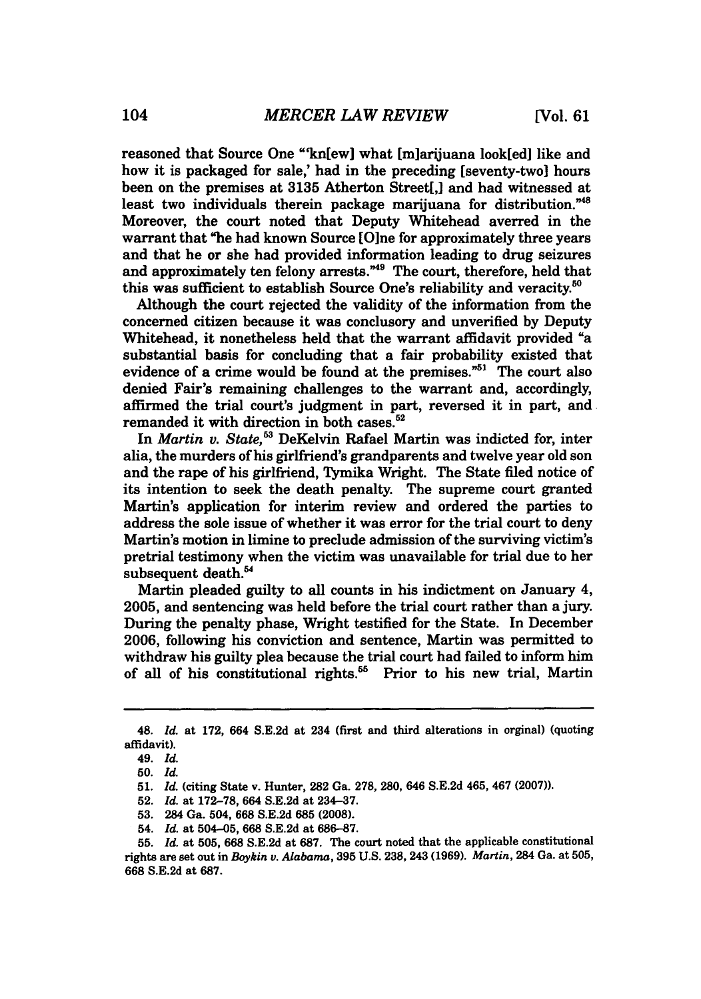reasoned that Source One "kn[ew] what [m]arijuana look[ed] like and how it is packaged for sale,' had in the preceding [seventy-two] hours been on the premises at **3135** Atherton Street[,] and had witnessed at least two individuals therein package marijuana for distribution."<sup>48</sup> Moreover, the court noted that Deputy Whitehead averred in the warrant that "he had known Source [Olne for approximately three years and that he or she had provided information leading to drug seizures and approximately ten felony arrests."<sup>49</sup> The court, therefore, held that this was sufficient to establish Source One's reliability and veracity.<sup>50</sup>

Although the court rejected the validity of the information from the concerned citizen because it was conclusory and unverified **by** Deputy Whitehead, it nonetheless held that the warrant affidavit provided "a substantial basis for concluding that a fair probability existed that evidence of a crime would be found at the premises.<sup>"51</sup> The court also denied Fair's remaining challenges to the warrant and, accordingly, affirmed the trial court's judgment in part, reversed it in part, and remanded it with direction in both cases.<sup>52</sup>

In *Martin v. State*,<sup>53</sup> DeKelvin Rafael Martin was indicted for, inter alia, the murders of his girlfriend's grandparents and twelve year old son and the rape of his girlfriend, Tymika Wright. The State filed notice of its intention to seek the death penalty. The supreme court granted Martin's application for interim review and ordered the parties to address the sole issue of whether it was error for the trial court to deny Martin's motion in limine to preclude admission of the surviving victim's pretrial testimony when the victim was unavailable for trial due to her subsequent death.<sup>54</sup>

Martin pleaded guilty to all counts in his indictment on January 4, 2005, and sentencing was held before the trial court rather than a jury. During the penalty phase, Wright testified for the State. In December 2006, following his conviction and sentence, Martin was permitted to withdraw his guilty plea because the trial court had failed to inform him of all of his constitutional rights.<sup>55</sup> Prior to his new trial, Martin

<sup>48.</sup> *Id.* at 172, 664 S.E.2d at 234 (first and third alterations in orginal) (quoting affidavit).

<sup>49.</sup> *Id.*

**<sup>50.</sup>** *Id.*

**<sup>51.</sup>** *Id.* (citing State v. Hunter, 282 Ga. 278, 280, 646 S.E.2d 465, 467 **(2007)).**

**<sup>52.</sup>** *Id.* at 172-78, 664 S.E.2d at 234-37.

<sup>53. 284</sup> Ga. 504, 668 S.E.2d **685 (2008).**

<sup>54.</sup> *Id.* at 504-05, 668 S.E.2d at 686-87.

<sup>55.</sup> *Id.* at **505, 668** S.E.2d at 687. The court noted that the applicable constitutional rights are set out in *Boykin v. Alabama,* **395** U.S. 238, 243 (1969). *Martin,* 284 Ga. at 505, 668 S.E.2d at 687.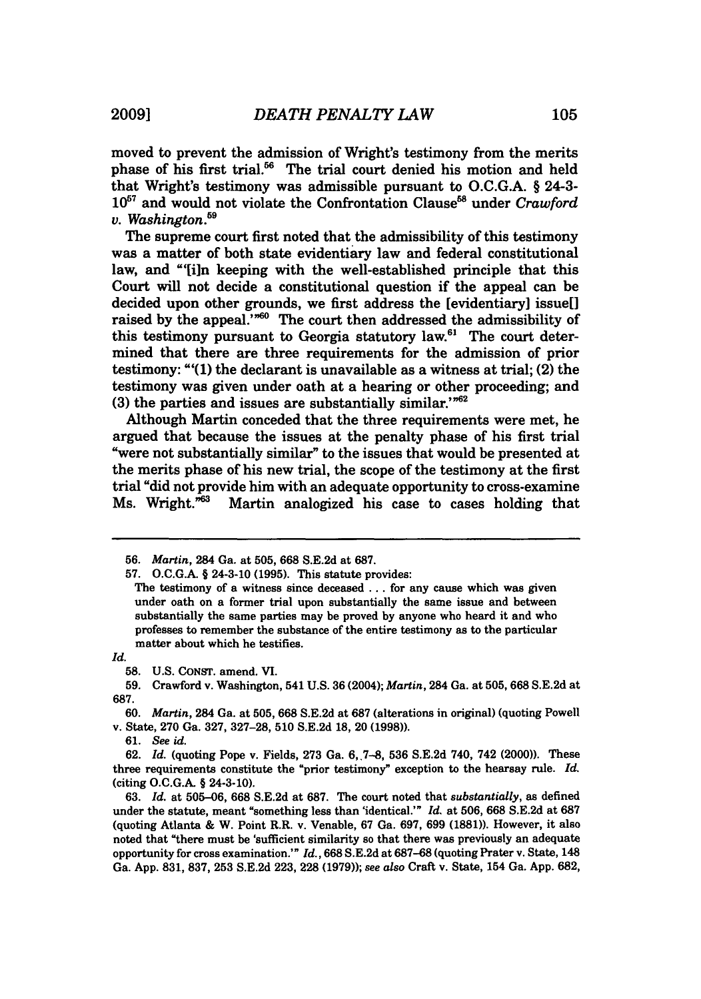moved to prevent the admission of Wright's testimony from the merits

phase of his first trial.<sup>56</sup> The trial court denied his motion and held that Wright's testimony was admissible pursuant to O.C.G.A. § 24-3- 10<sup>57</sup> and would not violate the Confrontation Clause<sup>58</sup> under *Crawford v. Washington.59*

The supreme court first noted that the admissibility of this testimony was a matter of both state evidentiary law and federal constitutional law, and "'[i]n keeping with the well-established principle that this Court will not decide a constitutional question if the appeal can be decided upon other grounds, we first address the [evidentiary] issue[] raised by the appeal."<sup>560</sup> The court then addressed the admissibility of this testimony pursuant to Georgia statutory law. $61$  The court determined that there are three requirements for the admission of prior testimony: **"'(1)** the declarant is unavailable as a witness at trial; (2) the testimony was given under oath at a hearing or other proceeding; and (3) the parties and issues are substantially similar."<sup>62</sup>

Although Martin conceded that the three requirements were met, he argued that because the issues at the penalty phase of his first trial "were not substantially similar" to the issues that would be presented at the merits phase of his new trial, the scope of the testimony at the first trial "did not provide him with an adequate opportunity to cross-examine<br>Ms. Wright."<sup>63</sup> Martin analogized his case to cases holding that Martin analogized his case to cases holding that

*Id.*

**61.** *See id.*

**<sup>56.</sup>** *Martin,* 284 Ga. at **505, 668 S.E.2d** at **687.**

**<sup>57.</sup>** O.C.G.A. § 24-3-10 **(1995).** This statute provides:

The testimony of a witness since deceased **...** for any cause which was given under oath on a former trial upon substantially the same issue and between substantially the same parties may be proved **by** anyone who heard it and who professes to remember the substance of the entire testimony as to the particular matter about which he testifies.

**<sup>58.</sup>** U.S. CONST. amend. **VI.**

**<sup>59.</sup>** Crawford v. Washington, 541 U.S. **36** (2004); *Martin,* 284 Ga. at **505, 668** S.E.2d at **687.**

**<sup>60.</sup>** *Martin,* 284 Ga. at 505, 668 S.E.2d at **687** (alterations in original) (quoting Powell v. State, **270** Ga. 327, **327-28, 510** S.E.2d 18, 20 **(1998)).**

**<sup>62.</sup>** *Id.* (quoting Pope v. Fields, **273** Ga. **6,.7-8, 536** S.E.2d 740, 742 (2000)). These three requirements constitute the "prior testimony" exception to the hearsay rule. *Id.* (citing O.C.G.A. § 24-3-10).

**<sup>63.</sup>** *Id.* at **505-06, 668** S.E.2d at **687.** The court noted that *substantially,* as defined under the statute, meant "something less than 'identical.'" *Id.* at **506, 668** S.E.2d at **687** (quoting Atlanta & W. Point R.R. v. Venable, **67** Ga. **697, 699** (1881)). However, it also noted that "there must be 'sufficient similarity so that there was previously an adequate opportunity for cross examination.'" *Id.,* **668** S.E.2d at **687-68** (quoting Prater v. State, 148 Ga. App. 831, **837, 253** S.E.2d **223, 228 (1979));** *see also* Craft v. State, 154 Ga. App. **682,**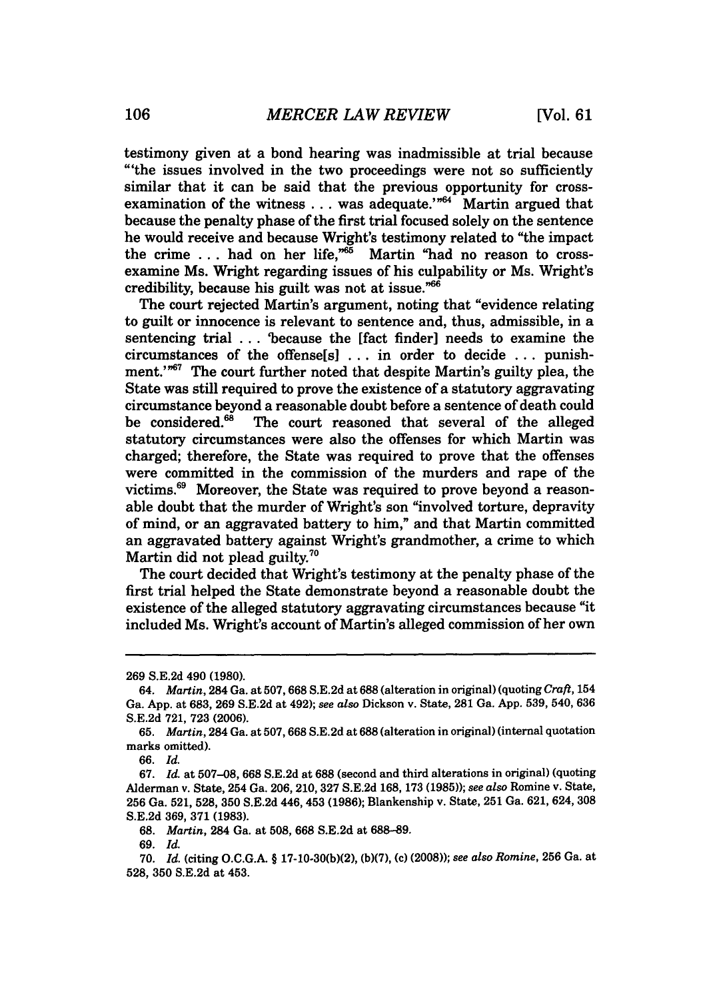testimony given at a bond hearing was inadmissible at trial because "'the issues involved in the two proceedings were not so sufficiently similar that it can be said that the previous opportunity for crossexamination of the witness  $\dots$  was adequate.'"<sup>64</sup> Martin argued that because the penalty phase of the first trial focused solely on the sentence he would receive and because Wright's testimony related to "the impact the crime  $\ldots$  had on her life," Martin "had no reason to crossexamine Ms. Wright regarding issues of his culpability or Ms. Wright's credibility, because his guilt was not at issue.'

The court rejected Martin's argument, noting that "evidence relating to guilt or innocence is relevant to sentence and, thus, admissible, in a sentencing trial . . . 'because the [fact finder] needs to examine the circumstances of the offense[s] ... in order to decide **...** punishment."<sup>67</sup> The court further noted that despite Martin's guilty plea, the State was still required to prove the existence of a statutory aggravating circumstance beyond a reasonable doubt before a sentence of death could<br>be considered.<sup>68</sup> The court reasoned that several of the alleged The court reasoned that several of the alleged statutory circumstances were also the offenses for which Martin was charged; therefore, the State was required to prove that the offenses were committed in the commission of the murders and rape of the victims.69 Moreover, the State was required to prove beyond a reasonable doubt that the murder of Wright's son "involved torture, depravity of mind, or an aggravated battery to him," and that Martin committed an aggravated battery against Wright's grandmother, a crime to which Martin did not plead guilty.<sup>70</sup>

The court decided that Wright's testimony at the penalty phase of the first trial helped the State demonstrate beyond a reasonable doubt the existence of the alleged statutory aggravating circumstances because "it included Ms. Wright's account of Martin's alleged commission of her own

66. *Id.*

<sup>269</sup> S.E.2d 490 (1980).

*<sup>64.</sup> Martin,* 284 Ga. at 507,668 S.E.2d at 688 (alteration in original) (quoting *Craft,* 154 Ga. App. at 683, 269 S.E.2d at 492); *see also* Dickson v. State, 281 Ga. App. 539, 540, 636 S.E.2d 721, 723 (2006).

<sup>65.</sup> *Martin,* 284 Ga. at 507,668 S.E.2d at 688 (alteration in original) (internal quotation marks omitted).

<sup>67.</sup> *Id.* at 507-08, **668** S.E.2d at 688 (second and third alterations in original) (quoting Alderman v. State, 254 Ga. **206,** 210, **327 S.E.2d 168, 173 (1985));** *see also* Romine v. State, **256** Ga. **521, 528, 350 S.E.2d** 446, 453 **(1986);** Blankenship v. State, **251** Ga. **621,** 624, **308 S.E.2d 369, 371 (1983).**

**<sup>68.</sup>** *Martin,* 284 Ga. at **508, 668 S.E.2d** at **688-89.**

**<sup>69.</sup>** *Id.*

**<sup>70.</sup>** *Id.* (citing **O.C.G.A- § 17-10-30(b)(2), (b)(7),** (c) **(2008));** *see also Romine,* **256** Ga. at **528, 350 S.E.2d** at 453.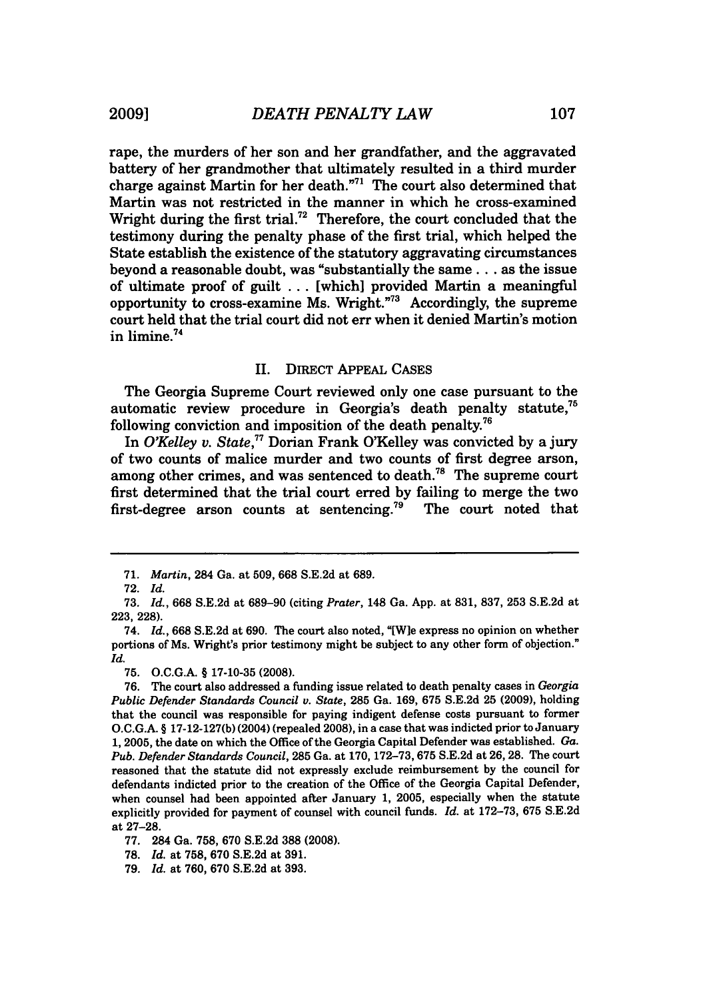rape, the murders of her son and her grandfather, and the aggravated battery of her grandmother that ultimately resulted in a third murder charge against Martin for her death. $\frac{n}{1}$  The court also determined that Martin was not restricted in the manner in which he cross-examined Wright during the first trial.<sup>72</sup> Therefore, the court concluded that the testimony during the penalty phase of the first trial, which helped the State establish the existence of the statutory aggravating circumstances beyond a reasonable doubt, was "substantially the same... as the issue of ultimate proof of guilt ... [which] provided Martin a meaningful opportunity to cross-examine Ms. Wright."73 Accordingly, the supreme court held that the trial court did not err when it denied Martin's motion in limine.<sup>74</sup>

#### II. DIRECT APPEAL CASES

The Georgia Supreme Court reviewed only one case pursuant to the automatic review procedure in Georgia's death penalty statute,75 following conviction and imposition of the death penalty.<sup>76</sup>

In *O'Kelley v. State.*<sup>77</sup> Dorian Frank O'Kelley was convicted by a jury of two counts of malice murder and two counts of first degree arson, among other crimes, and was sentenced to death.<sup>78</sup> The supreme court first determined that the trial court erred by failing to merge the two first-degree arson counts at sentencing.<sup>79</sup> The court noted that

<sup>71.</sup> *Martin,* 284 Ga. at 509, **668** S.E.2d at 689.

<sup>72.</sup> *Id.*

<sup>73.</sup> *Id.,* 668 S.E.2d at 689-90 (citing *Prater,* 148 Ga. App. at 831, 837, 253 S.E.2d at 223, 228).

<sup>74.</sup> *Id.,* 668 S.E.2d at 690. The court also noted, "[Wie express no opinion on whether portions of Ms. Wright's prior testimony might be subject to any other form of objection." *Id.*

<sup>75.</sup> O.C.G.A. § 17-10-35 **(2008).**

<sup>76.</sup> The court also addressed a funding issue related to death penalty cases in *Georgia Public Defender Standards Council v. State,* 285 Ga. 169, 675 S.E.2d 25 (2009), holding that the council was responsible for paying indigent defense costs pursuant to former O.C.G.A. § 17-12-127(b) (2004) (repealed 2008), in a case that was indicted prior to January 1, 2005, the date on which the Office of the Georgia Capital Defender was established. *Ga. Pub. Defender Standards Council,* 285 Ga. at 170, 172-73,675 S.E.2d at 26, 28. The court reasoned that the statute did not expressly exclude reimbursement by the council for defendants indicted prior to the creation of the Office of the Georgia Capital Defender, when counsel had been appointed after January 1, 2005, especially when the statute explicitly provided for payment of counsel with council funds. *Id.* at 172-73, 675 S.E.2d at 27-28.

<sup>77. 284</sup> Ga. 758, 670 S.E.2d **388 (2008).**

**<sup>78.</sup>** *Id.* at **758,** 670 S.E.2d at 391.

<sup>79.</sup> *Id.* at 760, 670 S.E.2d at 393.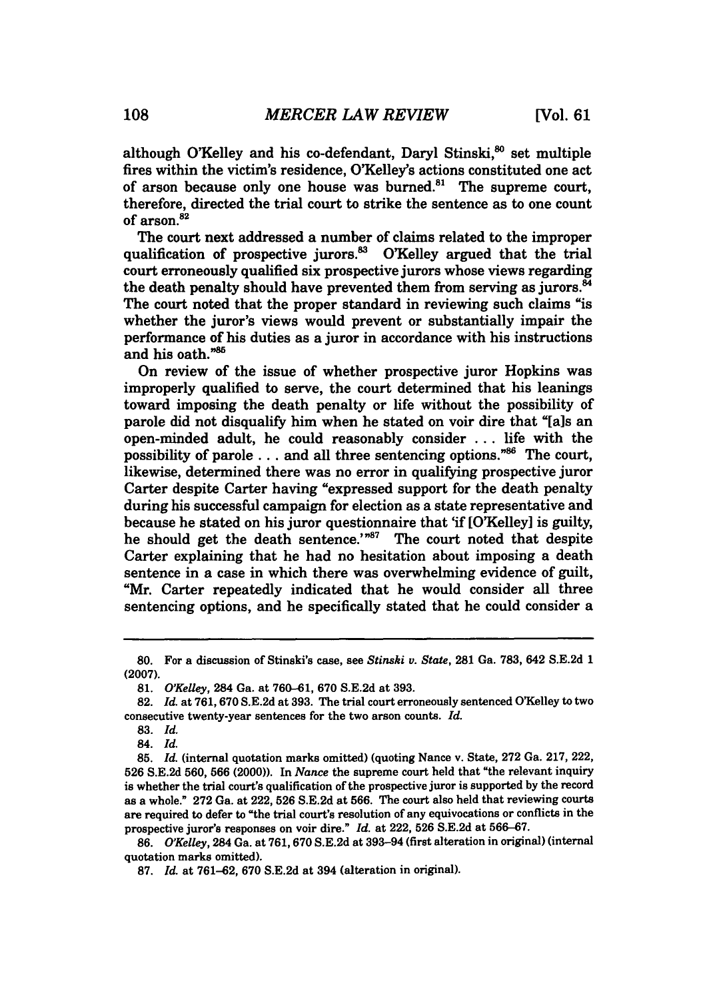although O'Kelley and his co-defendant, Daryl Stinski.<sup>80</sup> set multiple fires within the victim's residence. O'Kelley's actions constituted one act of arson because only one house was burned.<sup>81</sup> The supreme court, therefore, directed the trial court to strike the sentence as to one count of arson.<sup>82</sup>

The court next addressed a number of claims related to the improper qualification of prospective jurors.<sup>83</sup> O'Kelley argued that the trial court erroneously qualified six prospective jurors whose views regarding the death penalty should have prevented them from serving as jurors.<sup>84</sup> The court noted that the proper standard in reviewing such claims "is whether the juror's views would prevent or substantially impair the performance of his duties as a juror in accordance with his instructions and his oath."85

On review of the issue of whether prospective juror Hopkins was improperly qualified to serve, the court determined that his leanings toward imposing the death penalty or life without the possibility of parole did not disqualify him when he stated on voir dire that "[als an open-minded adult, he could reasonably consider ... life with the possibility of parole ... and all three sentencing options.<sup>"86</sup> The court, likewise, determined there was no error in qualifying prospective juror Carter despite Carter having "expressed support for the death penalty during his successful campaign for election as a state representative and because he stated on his juror questionnaire that 'if [O'Kelley] is guilty, he should get the death sentence.' $^{n87}$  The court noted that despite Carter explaining that he had no hesitation about imposing a death sentence in a case in which there was overwhelming evidence of guilt, "Mr. Carter repeatedly indicated that he would consider all three sentencing options, and he specifically stated that he could consider a

**<sup>80.</sup>** For a discussion of Stinski's case, see *Stinski v. State,* **281** Ga. **783,** 642 **S.E.2d 1 (2007).**

**<sup>81.</sup>** *OKelley,* 284 Ga. at **760-61, 670 S.E.2d** at **393.**

**<sup>82.</sup>** *Id.* at **761,670 S.E.2d** at **393.** The trial court erroneously sentenced OKelley to two consecutive twenty-year sentences for the two arson counts. *Id.*

**<sup>83.</sup>** *Id.*

<sup>84.</sup> *Id.*

**<sup>85.</sup>** *Id.* (internal quotation marks omitted) (quoting Nance v. State, **272** Ga. **217,** 222, **526 S.E.2d 560, 566** (2000)). In *Nance* the supreme court held that "the relevant inquiry is whether the trial court's qualification of the prospective juror is supported **by** the record as a whole." **272** Ga. at 222, **526 S.E.2d** at **566.** The court also held that reviewing courts are required to defer to "the trial court's resolution of any equivocations or conflicts in the prospective juror's responses on voir dire." *Id.* at 222, **526 S.E.2d** at **566-67.**

**<sup>86.</sup>** *OKelley,* 284 Ga. at **761,670 S.E.2d** at 393-94 (first alteration in original) (internal quotation marks omitted).

**<sup>87.</sup>** *Id.* at **761-62, 670 S.E.2d** at 394 (alteration in original).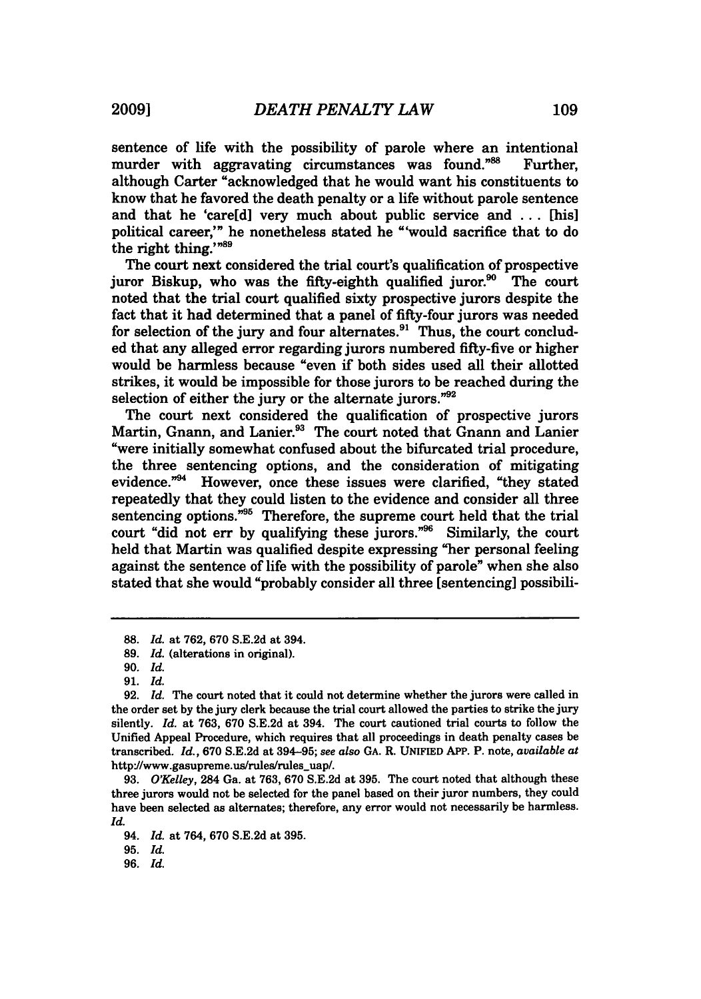sentence of life with the possibility of parole where an intentional murder with aggravating circumstances was found."88 Further. although Carter "acknowledged that he would want his constituents to know that he favored the death penalty or a life without parole sentence and that he 'care[d] very much about public service and ... [his] political career,'" he nonetheless stated he "'would sacrifice that to do the right thing."<sup>89</sup>

The court next considered the trial court's qualification of prospective juror Biskup, who was the fifty-eighth qualified juror.<sup>90</sup> The court noted that the trial court qualified sixty prospective jurors despite the fact that it had determined that a panel of fifty-four jurors was needed for selection of the jury and four alternates. $91$  Thus, the court concluded that any alleged error regarding jurors numbered fifty-five or higher would be harmless because "even if both sides used all their allotted strikes, it would be impossible for those jurors to be reached during the selection of either the jury or the alternate jurors."92

The court next considered the qualification of prospective jurors Martin, Gnann, and Lanier.<sup>93</sup> The court noted that Gnann and Lanier "were initially somewhat confused about the bifurcated trial procedure, the three sentencing options, and the consideration of mitigating evidence."<sup>94</sup> However, once these issues were clarified, "they stated repeatedly that they could listen to the evidence and consider all three sentencing options."<sup>95</sup> Therefore, the supreme court held that the trial court "did not err by qualifying these jurors."<sup>96</sup> Similarly, the court held that Martin was qualified despite expressing "her personal feeling against the sentence of life with the possibility of parole" when she also stated that she would "probably consider all three [sentencing] possibili-

**95.** *Id.*

**<sup>88.</sup>** *Id.* at 762, 670 S.E.2d at 394.

**<sup>89.</sup>** *Id.* (alterations in original).

**<sup>90.</sup>** *Id.*

**<sup>91.</sup>** *Id.*

**<sup>92.</sup>** *Id.* The court noted that it could not determine whether the jurors were called in the order set **by** the jury clerk because the trial court allowed the parties to strike the jury silently. *Id.* at **763, 670 S.E.2d** at 394. The court cautioned trial courts to follow the Unified Appeal Procedure, which requires that all proceedings in death penalty cases be transcribed. *Id.,* **670 S.E.2d** at **394-95;** *see also* **GA.** R. UNIFIED **APP.** P. note, *available at* http://www.gasupreme.us/rules/rules\_uap/.

**<sup>93.</sup>** *O'Kelley,* 284 Ga. at **763, 670 S.E.2d** at **395.** The court noted that although these three jurors would not be selected for the panel based on their juror numbers, they could have been selected as alternates; therefore, any error would not necessarily be harmless. *Id.*

<sup>94.</sup> *Id.* at 764, **670 S.E.2d** at **395.**

**<sup>96.</sup>** *Id.*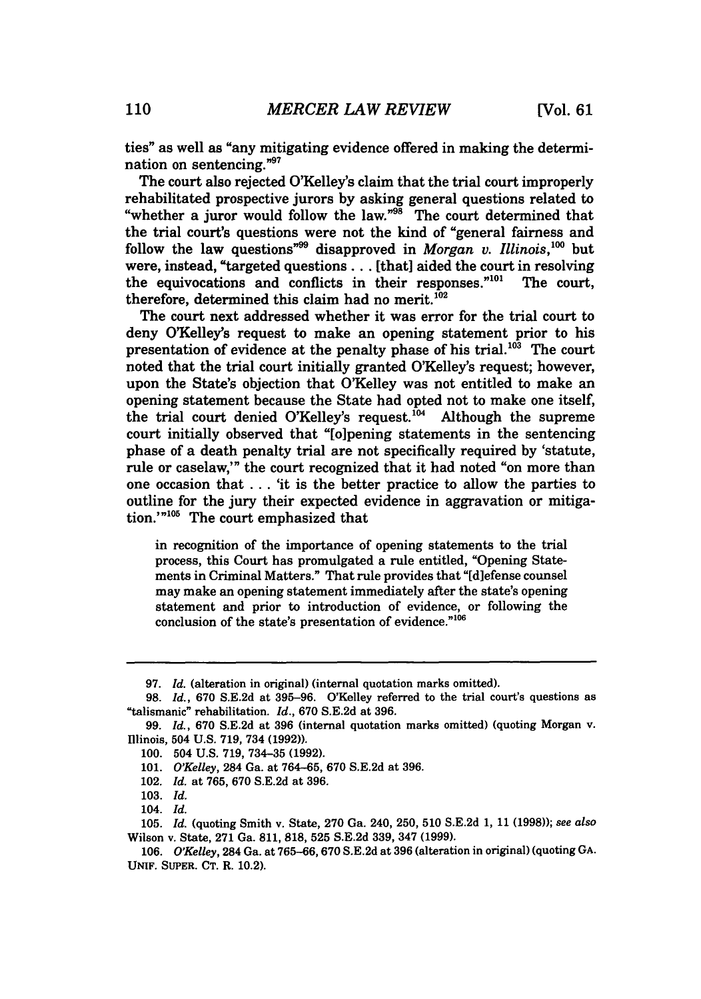ties" as well as "any mitigating evidence offered in making the determination on sentencing."97

The court also rejected O'Kelley's claim that the trial court improperly rehabilitated prospective jurors **by** asking general questions related to "whether a juror would follow the law."<sup>98</sup> The court determined that the trial court's questions were not the kind of "general fairness and follow the law questions<sup>"99</sup> disapproved in *Morgan v. Illinois*,<sup>100</sup> but were, instead, "targeted questions... [that] aided the court in resolving the equivocations and conflicts in their responses."<sup>101</sup> The court, therefore, determined this claim had no merit. $^{102}$ 

The court next addressed whether it was error for the trial court to deny OKelley's request to make an opening statement prior to his presentation of evidence at the penalty phase of his trial.<sup>103</sup> The court noted that the trial court initially granted O'Kelley's request; however, upon the State's objection that O'Kelley was not entitled to make an opening statement because the State had opted not to make one itself, the trial court denied O'Kellev's request.<sup>104</sup> Although the supreme court initially observed that "[o]pening statements in the sentencing phase of a death penalty trial are not specifically required **by** 'statute, rule or caselaw,'" the court recognized that it had noted "on more than one occasion that **. . .** 'it is the better practice to allow the parties to outline for the jury their expected evidence in aggravation or mitigation.'"<sup>105</sup> The court emphasized that

in recognition of the importance of opening statements to the trial process, this Court has promulgated a rule entitled, "Opening Statements in Criminal Matters." That rule provides that "[d]efense counsel may make an opening statement immediately after the state's opening statement and prior to introduction of evidence, or following the conclusion of the state's presentation of evidence."<sup>106</sup>

**<sup>97.</sup>** *Id.* (alteration in original) (internal quotation marks omitted).

**<sup>98.</sup>** *Id.,* **670 S.E.2d** at **395-96.** O'Kelley referred to the trial court's questions as "talismanic" rehabilitation. *Id.,* **670 S.E.2d** at **396.**

**<sup>99.</sup>** *Id.,* **670 S.E.2d** at **396** (internal quotation marks omitted) (quoting Morgan v. Illinois, 504 **U.S. 719,** 734 **(1992)).**

**<sup>100.</sup>** 504 **U.S. 719, 734-35 (1992).**

**<sup>101.</sup>** *O'Kelley,* 284 Ga. at **764-65, 670 S.E.2d** at **396.**

<sup>102.</sup> *Id.* at **765, 670 S.E.2d** at **396.**

**<sup>103.</sup>** *Id.*

<sup>104.</sup> *Id.*

**<sup>105.</sup>** *Id.* (quoting Smith v. State, **270** Ga. 240, **250, 510 S.E.2d 1, 11 (1998));** *see also* Wilson v. State, **271** Ga. **811, 818, 525 S.E.2d 339,** 347 **(1999).**

**<sup>106.</sup>** *O'Kelley,* 284 Ga. at **765-66,670 S.E.2d** at **396** (alteration in original) (quoting **GA. UNIF. SUPER. CT.** R. 10.2).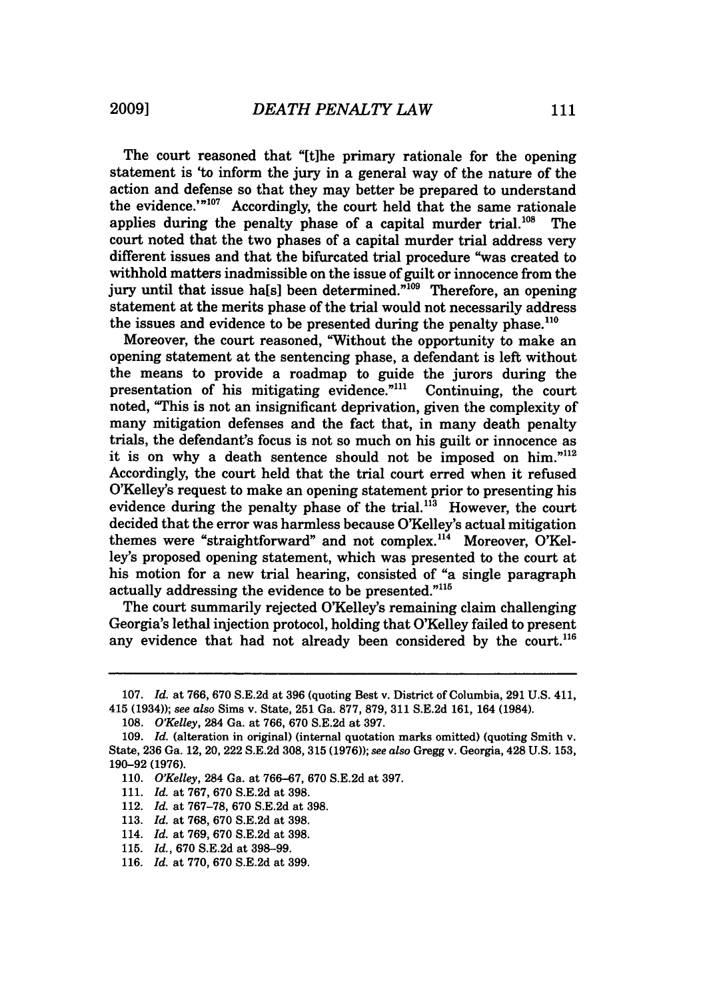The court reasoned that "[tihe primary rationale for the opening statement is 'to inform the jury in a general way of the nature of the action and defense so that they may better be prepared to understand the evidence.'" $107$  Accordingly, the court held that the same rationale applies during the penalty phase of a capital murder trial.<sup>108</sup> The court noted that the two phases of a capital murder trial address very different issues and that the bifurcated trial procedure "was created to withhold matters inadmissible on the issue of guilt or innocence from the jury until that issue halsl been determined."<sup>109</sup> Therefore, an opening statement at the merits phase of the trial would not necessarily address the issues and evidence to be presented during the penalty phase. $^{110}$ 

Moreover, the court reasoned, "Without the opportunity to make an opening statement at the sentencing phase, a defendant is left without the means to provide a roadmap to guide the jurors during the presentation of his mitigating evidence."<sup>111</sup> Continuing, the court noted, "This is not an insignificant deprivation, given the complexity of many mitigation defenses and the fact that, in many death penalty trials, the defendant's focus is not so much on his guilt or innocence as it is on why a death sentence should not be imposed on him." $112$ Accordingly, the court held that the trial court erred when it refused O'Kelley's request to make an opening statement prior to presenting his evidence during the penalty phase of the trial.<sup>113</sup> However, the court decided that the error was harmless because O'Kelley's actual mitigation themes were "straightforward" and not complex.<sup>114</sup> Moreover, O'Kelley's proposed opening statement, which was presented to the court at his motion for a new trial hearing, consisted of "a single paragraph actually addressing the evidence to be presented."<sup>115</sup>

The court summarily rejected O'Kelley's remaining claim challenging Georgia's lethal injection protocol, holding that O'Kelley failed to present any evidence that had not already been considered by the court.<sup>116</sup>

- 111. *Id.* at 767, 670 S.E.2d at 398.
- 112. *Id.* at 767-78, 670 S.E.2d at 398.
- 113. *Id.* at 768, 670 S.E.2d at 398.
- 114. *Id.* at 769, 670 S.E.2d at 398.
- 115. *Id.,* 670 S.E.2d at 398-99.
- 116. *Id.* at 770, 670 S.E.2d at 399.

<sup>107.</sup> *Id.* at 766, 670 S.E.2d at 396 (quoting Best v. District of Columbia, 291 U.S. 411, 415 (1934)); *see also* Sims v. State, 251 Ga. 877, 879, 311 S.E.2d 161, 164 (1984).

<sup>108.</sup> *O'Kelley,* 284 Ga. at 766, 670 S.E.2d at 397.

<sup>109.</sup> *Id.* (alteration in original) (internal quotation marks omitted) (quoting Smith v. State, 236 Ga. 12, 20, 222 S.E.2d 308, 315 (1976)); *see also* Gregg v. Georgia, 428 U.S. 153, 190-92 (1976).

<sup>110.</sup> *O'Kelley,* 284 Ga. at 766-67, 670 S.E.2d at 397.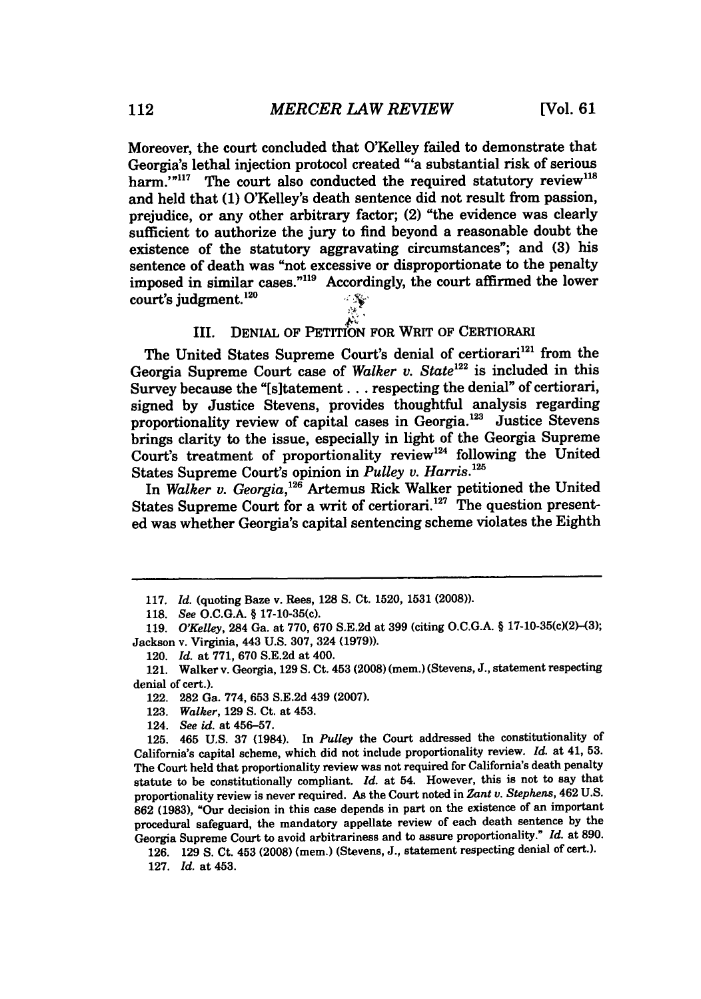Moreover, the court concluded that O'Kelley failed to demonstrate that Georgia's lethal injection protocol created "'a substantial risk of serious harm." $117$  The court also conducted the required statutory review<sup>118</sup> and held that **(1)** O'Kelley's death sentence did not result from passion, prejudice, or any other arbitrary factor; (2) "the evidence was clearly sufficient to authorize the jury to find beyond a reasonable doubt the existence of the statutory aggravating circumstances"; and **(3)** his sentence of death was "not excessive or disproportionate to the penalty imposed in similar cases."119 Accordingly, the court affirmed the lower court's judgment. $120$ 

# III. **DENIAL OF PETITION FOR WRIT OF CERTIORARI**

The United States Supreme Court's denial of certiorari<sup>121</sup> from the Georgia Supreme Court case of *Walker v. State<sup>122</sup>* is included in this Survey because the "[s]tatement... respecting the denial" of certiorari, signed **by** Justice Stevens, provides thoughtful analysis regarding proportionality review of capital cases in Georgia.<sup>123</sup> Justice Stevens brings clarity to the issue, especially in light of the Georgia Supreme Court's treatment of proportionality review<sup>124</sup> following the United States Supreme Court's opinion in *Pulley V. Harris. <sup>25</sup>*

In *Walker v. Georgia,'26* Artemus Rick Walker petitioned the United States Supreme Court for a writ of certiorari.<sup>127</sup> The question presented was whether Georgia's capital sentencing scheme violates the Eighth

**125.** 465 **U.S. 37** (1984). In *Pulley* the Court addressed the constitutionality **of** California's capital scheme, which did not include proportionality review. *Id.* at 41, **53.** The Court held that proportionality review was not required for California's death penalty statute to be constitutionally compliant. *Id.* at 54. However, this is not to say that proportionality review is never required. As the Court noted in *Zant v. Stephens,* 462 **U.S. 862 (1983),** "Our decision in this case depends in part on the existence of an important procedural safeguard, the mandatory appellate review of each death sentence **by** the Georgia Supreme Court to avoid arbitrariness and to assure proportionality." *Id.* at **890.**

**<sup>117.</sup>** *Id.* (quoting Baze v. Rees, **128 S.** Ct. **1520, 1531 (2008)).**

**<sup>118.</sup>** *See* **O.C.G.A.** § **17-10-35(c).**

**<sup>119.</sup>** *O'Kelley,* 284 Ga. at **770, 670 S.E.2d** at **399** (citing **O.C.G.A.** § 17-10-35(c)(2)-(3); Jackson v. Virginia, 443 **U.S. 307,** 324 **(1979)).**

<sup>120.</sup> *Id.* at **771, 670 S.E.2d** at 400.

<sup>121.</sup> Walker v. Georgia, **129 S.** Ct. 453 **(2008)** (mem.) (Stevens, **J.,** statement respecting denial of cert.).

<sup>122.</sup> **282** Ga. **774, 653 S.E.2d** 439 **(2007).**

**<sup>123.</sup>** *Walker,* **129 S.** Ct. at 453.

<sup>124.</sup> *See id.* at **456-57.**

**<sup>126. 129</sup> S.** Ct. 453 **(2008)** (mem.) (Stevens, **J.,** statement respecting denial of cert.).

**<sup>127.</sup>** *Id.* at 453.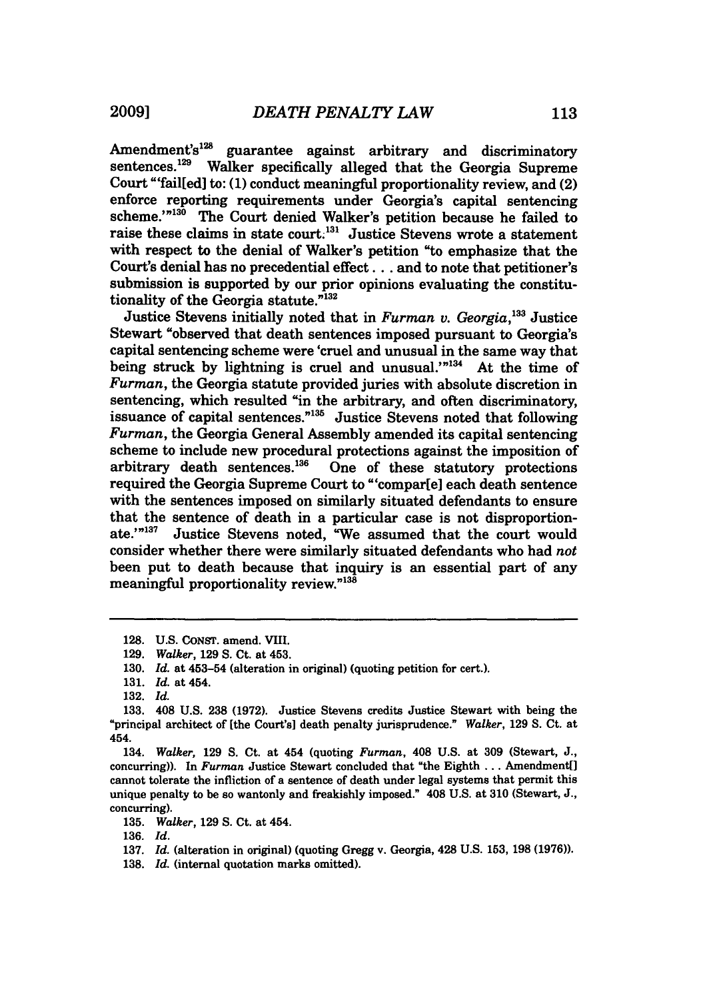Amendment's<sup>128</sup> guarantee against arbitrary and discriminatory sentences.<sup>129</sup> Walker specifically alleged that the Georgia Supreme Court "'fail[ed] to: **(1)** conduct meaningful proportionality review, and (2) enforce reporting requirements under Georgia's capital sentencing scheme.'"<sup>130</sup> The Court denied Walker's petition because he failed to raise these claims in state court.<sup>131</sup> Justice Stevens wrote a statement with respect to the denial of Walker's petition "to emphasize that the Court's denial has no precedential effect... and to note that petitioner's submission is supported **by** our prior opinions evaluating the constitutionality of the Georgia statute."<sup>132</sup>

Justice Stevens initially noted that in *Furman v. Georgia*,<sup>133</sup> Justice</sup> Stewart "observed that death sentences imposed pursuant to Georgia's capital sentencing scheme were 'cruel and unusual in the same way that being struck by lightning is cruel and unusual.'<sup>"134</sup> At the time of *Furman,* the Georgia statute provided juries with absolute discretion in sentencing, which resulted "in the arbitrary, and often discriminatory, issuance of capital sentences."<sup>135</sup> Justice Stevens noted that following *Furman,* the Georgia General Assembly amended its capital sentencing scheme to include new procedural protections against the imposition of arbitrary death sentences.<sup>136</sup> One of these statutory protections One of these statutory protections required the Georgia Supreme Court to "'compar[e] each death sentence with the sentences imposed on similarly situated defendants to ensure that the sentence of death in a particular case is not disproportionate.'"<sup>137</sup> Justice Stevens noted, "We assumed that the court would consider whether there were similarly situated defendants who had *not* been put to death because that inquiry is an essential part of any meaningful proportionality review."<sup>138</sup>

134. *Walker,* **129 S.** Ct. at 454 (quoting *Furman,* 408 **U.S.** at **309** (Stewart, **J.,** concurring)). In *Furman* Justice Stewart concluded that "the Eighth **...** Amendment[] cannot tolerate the infliction of a sentence of death under legal systems that permit this unique penalty to be so wantonly and freakishly imposed." 408 **U.S.** at **310** (Stewart, **J.,** concurring).

**135.** *Walker,* **129 S.** Ct. at 454.

**136.** *Id.*

**<sup>128.</sup> U.S.** CoNsr. amend. VIII.

**<sup>129.</sup>** *Walker,* **129 S.** Ct. at 453.

**<sup>130.</sup>** *Id.* at 453-54 (alteration in original) (quoting petition for cert.).

**<sup>131.</sup>** *Id.* at 454.

**<sup>132.</sup>** *Id.*

**<sup>133.</sup>** 408 **U.S. 238 (1972).** Justice Stevens credits Justice Stewart with being the "principal architect of [the Court's] death penalty jurisprudence." *Walker,* **129 S.** Ct. at 454.

**<sup>137.</sup>** *Id.* (alteration in original) (quoting Gregg v. Georgia, 428 **U.S. 153, 198 (1976)).**

**<sup>138.</sup>** *Id.* (internal quotation marks omitted).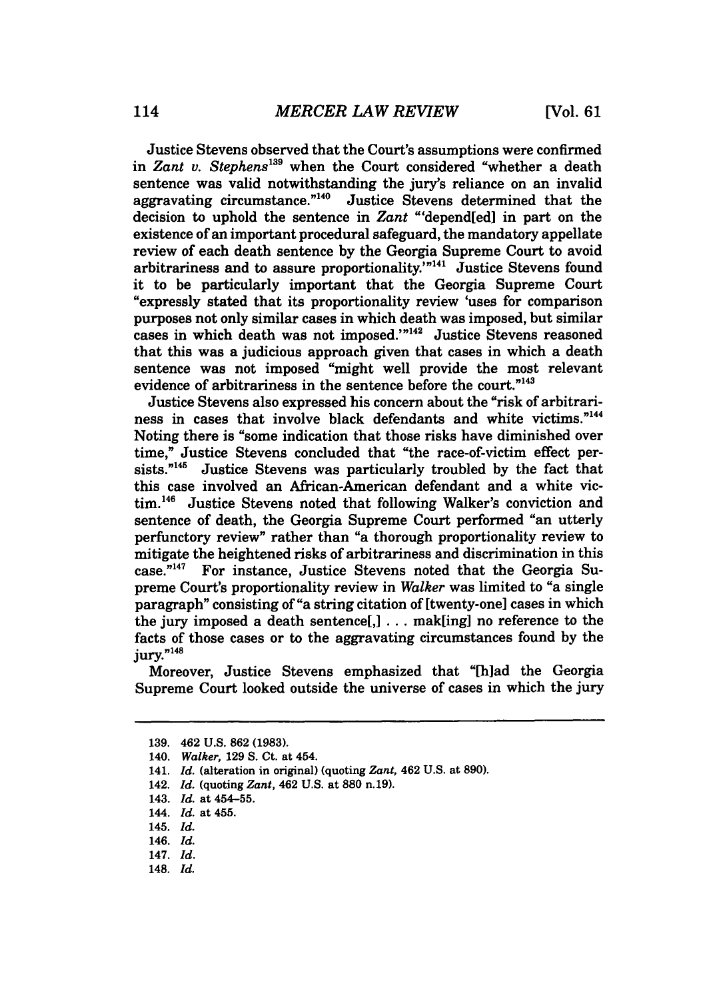Justice Stevens observed that the Court's assumptions were confirmed in *Zant v. Stephens139* when the Court considered "whether a death sentence was valid notwithstanding the jury's reliance on an invalid aggravating circumstance.<sup>"140</sup> Justice Stevens determined that the decision to uphold the sentence in *Zant* "'depend[ed] in part on the existence of an important procedural safeguard, the mandatory appellate review of each death sentence by the Georgia Supreme Court to avoid arbitrariness and to assure proportionality.<sup>'"141</sup> Justice Stevens found it to be particularly important that the Georgia Supreme Court "expressly stated that its proportionality review 'uses for comparison purposes not only similar cases in which death was imposed, but similar cases in which death was not imposed."<sup>142</sup> Justice Stevens reasoned that this was a judicious approach given that cases in which a death sentence was not imposed "might well provide the most relevant evidence of arbitrariness in the sentence before the court."<sup>143</sup>

Justice Stevens also expressed his concern about the "risk of arbitrariness in cases that involve black defendants and white victims."<sup>144</sup> Noting there is "some indication that those risks have diminished over time," Justice Stevens concluded that "the race-of-victim effect persists." $145$  Justice Stevens was particularly troubled by the fact that this case involved an African-American defendant and a white victim.<sup>146</sup> Justice Stevens noted that following Walker's conviction and sentence of death, the Georgia Supreme Court performed "an utterly perfunctory review" rather than "a thorough proportionality review to mitigate the heightened risks of arbitrariness and discrimination in this case." 47 For instance, Justice Stevens noted that the Georgia Supreme Court's proportionality review in *Walker* was limited to "a single paragraph" consisting of "a string citation of [twenty-one] cases in which the jury imposed a death sentence[,] . . . mak[ing] no reference to the facts of those cases or to the aggravating circumstances found by the jury."<sup>148</sup>

Moreover, Justice Stevens emphasized that "[h]ad the Georgia Supreme Court looked outside the universe of cases in which the jury

142. *Id.* (quoting *Zant,* 462 **U.S.** at **880 n.19).**

- 146. *Id.*
- 147. *Id.*
- 148. *Id.*

**<sup>139.</sup>** 462 **U.S. 862 (1983).**

<sup>140.</sup> *Walker,* **129 S.** Ct. at 454.

<sup>141.</sup> *Id.* (alteration in original) (quoting *Zant,* 462 **U.S.** at **890).**

<sup>143.</sup> *Id.* at 454-55.

<sup>144.</sup> *Id.* at 455.

<sup>145.</sup> *Id.*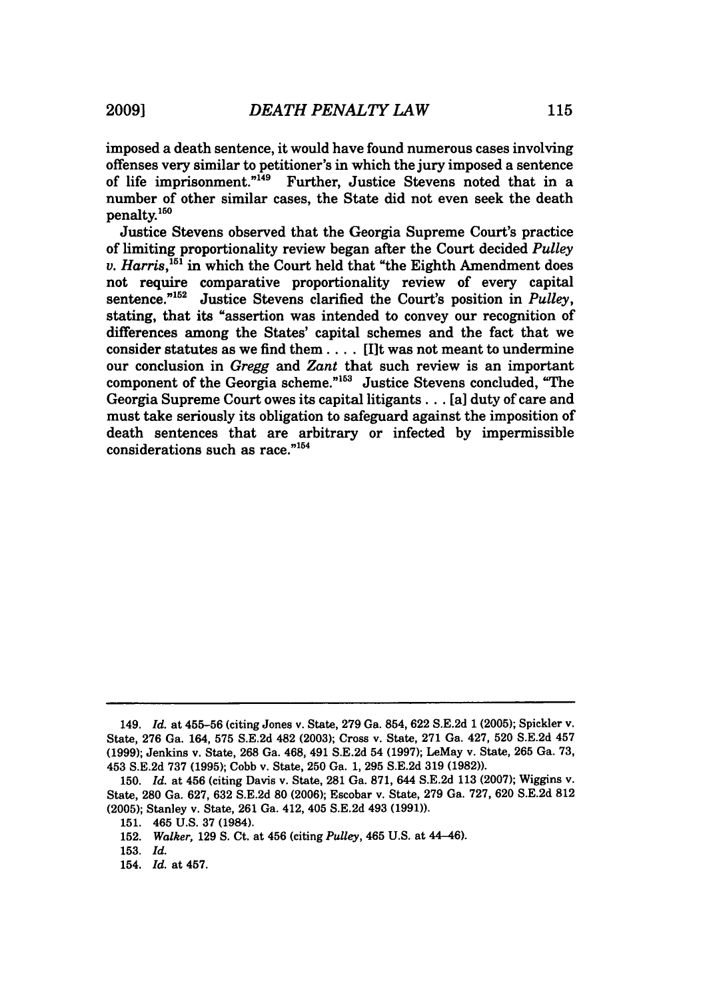number of other similar cases, the State did not even seek the death

imposed a death sentence, it would have found numerous cases involving offenses very similar to petitioner's in which the jury imposed a sentence of life imprisonment."<sup>149</sup> Further, Justice Stevens noted that in a

penalty.150 Justice Stevens observed that the Georgia Supreme Court's practice of limiting proportionality review began after the Court decided *Pulley v. Harris*,<sup>151</sup> in which the Court held that "the Eighth Amendment does not require comparative proportionality review of every capital sentence."<sup>152</sup> Justice Stevens clarified the Court's position in *Pulley*, stating, that its "assertion was intended to convey our recognition of differences among the States' capital schemes and the fact that we consider statutes as we find them .... [Ilt was not meant to undermine our conclusion in *Gregg* and *Zant* that such review is an important component of the Georgia scheme."'53 Justice Stevens concluded, "The Georgia Supreme Court owes its capital litigants... [a] duty of care and must take seriously its obligation to safeguard against the imposition of death sentences that are arbitrary or infected by impermissible considerations such as race."<sup>154</sup>

<sup>149.</sup> *Id.* at 455-56 (citing Jones v. State, 279 Ga. 854, 622 S.E.2d 1 **(2005);** Spickler v. State, 276 Ga. 164, 575 S.E.2d 482 (2003); Cross v. State, 271 Ga. 427, 520 S.E.2d 457 (1999); Jenkins v. State, 268 Ga. 468, 491 S.E.2d 54 (1997); LeMay v. State, 265 Ga. 73, 453 S.E.2d 737 (1995); Cobb v. State, 250 Ga. 1, 295 S.E.2d 319 (1982)).

<sup>150.</sup> *Id.* at 456 (citing Davis v. State, 281 Ga. **871,** 644 S.E.2d 113 **(2007);** Wiggins v. State, **280** Ga. 627, 632 S.E.2d **80** (2006); Escobar v. State, 279 Ga. 727, 620 S.E.2d 812 (2005); Stanley v. State, 261 Ga. 412, 405 S.E.2d 493 (1991)).

<sup>151. 465</sup> U.S. 37 (1984).

<sup>152.</sup> *Walker,* 129 S. Ct. at 456 (citing *Pulley,* 465 U.S. at 44--46).

<sup>153.</sup> *Id.*

<sup>154.</sup> *Id.* at 457.